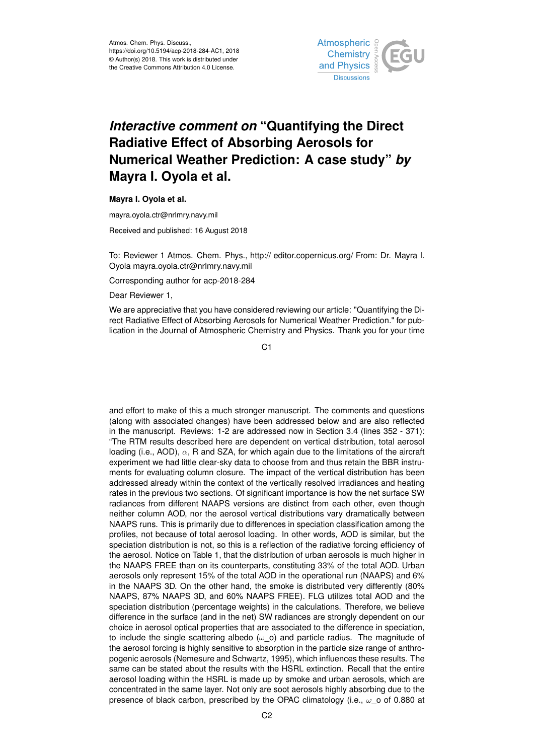

## *Interactive comment on* **"Quantifying the Direct Radiative Effect of Absorbing Aerosols for Numerical Weather Prediction: A case study"** *by* **Mayra I. Oyola et al.**

## **Mayra I. Oyola et al.**

mayra.oyola.ctr@nrlmry.navy.mil

Received and published: 16 August 2018

To: Reviewer 1 Atmos. Chem. Phys., http:// editor.copernicus.org/ From: Dr. Mayra I. Oyola mayra.oyola.ctr@nrlmry.navy.mil

Corresponding author for acp-2018-284

Dear Reviewer 1,

We are appreciative that you have considered reviewing our article: "Quantifying the Direct Radiative Effect of Absorbing Aerosols for Numerical Weather Prediction." for publication in the Journal of Atmospheric Chemistry and Physics. Thank you for your time

C1

and effort to make of this a much stronger manuscript. The comments and questions (along with associated changes) have been addressed below and are also reflected in the manuscript. Reviews: 1-2 are addressed now in Section 3.4 (lines 352 - 371): "The RTM results described here are dependent on vertical distribution, total aerosol loading (i.e., AOD),  $\alpha$ , R and SZA, for which again due to the limitations of the aircraft experiment we had little clear-sky data to choose from and thus retain the BBR instruments for evaluating column closure. The impact of the vertical distribution has been addressed already within the context of the vertically resolved irradiances and heating rates in the previous two sections. Of significant importance is how the net surface SW radiances from different NAAPS versions are distinct from each other, even though neither column AOD, nor the aerosol vertical distributions vary dramatically between NAAPS runs. This is primarily due to differences in speciation classification among the profiles, not because of total aerosol loading. In other words, AOD is similar, but the speciation distribution is not, so this is a reflection of the radiative forcing efficiency of the aerosol. Notice on Table 1, that the distribution of urban aerosols is much higher in the NAAPS FREE than on its counterparts, constituting 33% of the total AOD. Urban aerosols only represent 15% of the total AOD in the operational run (NAAPS) and 6% in the NAAPS 3D. On the other hand, the smoke is distributed very differently (80% NAAPS, 87% NAAPS 3D, and 60% NAAPS FREE). FLG utilizes total AOD and the speciation distribution (percentage weights) in the calculations. Therefore, we believe difference in the surface (and in the net) SW radiances are strongly dependent on our choice in aerosol optical properties that are associated to the difference in speciation, to include the single scattering albedo  $(\omega, o)$  and particle radius. The magnitude of the aerosol forcing is highly sensitive to absorption in the particle size range of anthropogenic aerosols (Nemesure and Schwartz, 1995), which influences these results. The same can be stated about the results with the HSRL extinction. Recall that the entire aerosol loading within the HSRL is made up by smoke and urban aerosols, which are concentrated in the same layer. Not only are soot aerosols highly absorbing due to the presence of black carbon, prescribed by the OPAC climatology (i.e.,  $\omega$  of 0.880 at